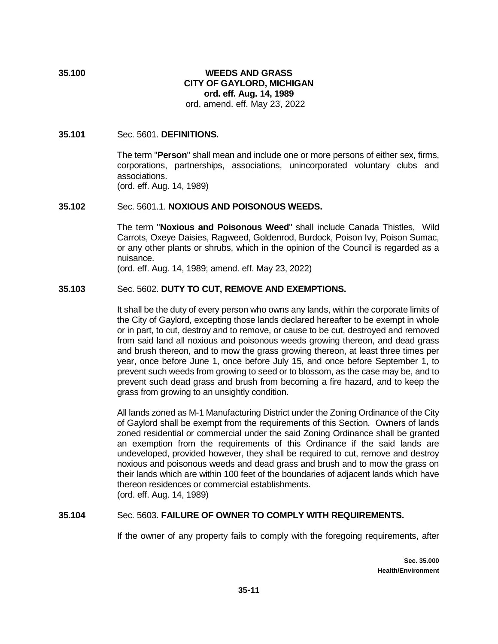# **35.100 WEEDS AND GRASS CITY OF GAYLORD, MICHIGAN ord. eff. Aug. 14, 1989**

ord. amend. eff. May 23, 2022

### **35.101** Sec. 5601. **DEFINITIONS.**

The term "**Person**" shall mean and include one or more persons of either sex, firms, corporations, partnerships, associations, unincorporated voluntary clubs and associations. (ord. eff. Aug. 14, 1989)

#### **35.102** Sec. 5601.1. **NOXIOUS AND POISONOUS WEEDS.**

The term "**Noxious and Poisonous Weed**" shall include Canada Thistles, Wild Carrots, Oxeye Daisies, Ragweed, Goldenrod, Burdock, Poison Ivy, Poison Sumac, or any other plants or shrubs, which in the opinion of the Council is regarded as a nuisance.

(ord. eff. Aug. 14, 1989; amend. eff. May 23, 2022)

## **35.103** Sec. 5602. **DUTY TO CUT, REMOVE AND EXEMPTIONS.**

It shall be the duty of every person who owns any lands, within the corporate limits of the City of Gaylord, excepting those lands declared hereafter to be exempt in whole or in part, to cut, destroy and to remove, or cause to be cut, destroyed and removed from said land all noxious and poisonous weeds growing thereon, and dead grass and brush thereon, and to mow the grass growing thereon, at least three times per year, once before June 1, once before July 15, and once before September 1, to prevent such weeds from growing to seed or to blossom, as the case may be, and to prevent such dead grass and brush from becoming a fire hazard, and to keep the grass from growing to an unsightly condition.

All lands zoned as M-1 Manufacturing District under the Zoning Ordinance of the City of Gaylord shall be exempt from the requirements of this Section. Owners of lands zoned residential or commercial under the said Zoning Ordinance shall be granted an exemption from the requirements of this Ordinance if the said lands are undeveloped, provided however, they shall be required to cut, remove and destroy noxious and poisonous weeds and dead grass and brush and to mow the grass on their lands which are within 100 feet of the boundaries of adjacent lands which have thereon residences or commercial establishments. (ord. eff. Aug. 14, 1989)

#### **35.104** Sec. 5603. **FAILURE OF OWNER TO COMPLY WITH REQUIREMENTS.**

If the owner of any property fails to comply with the foregoing requirements, after